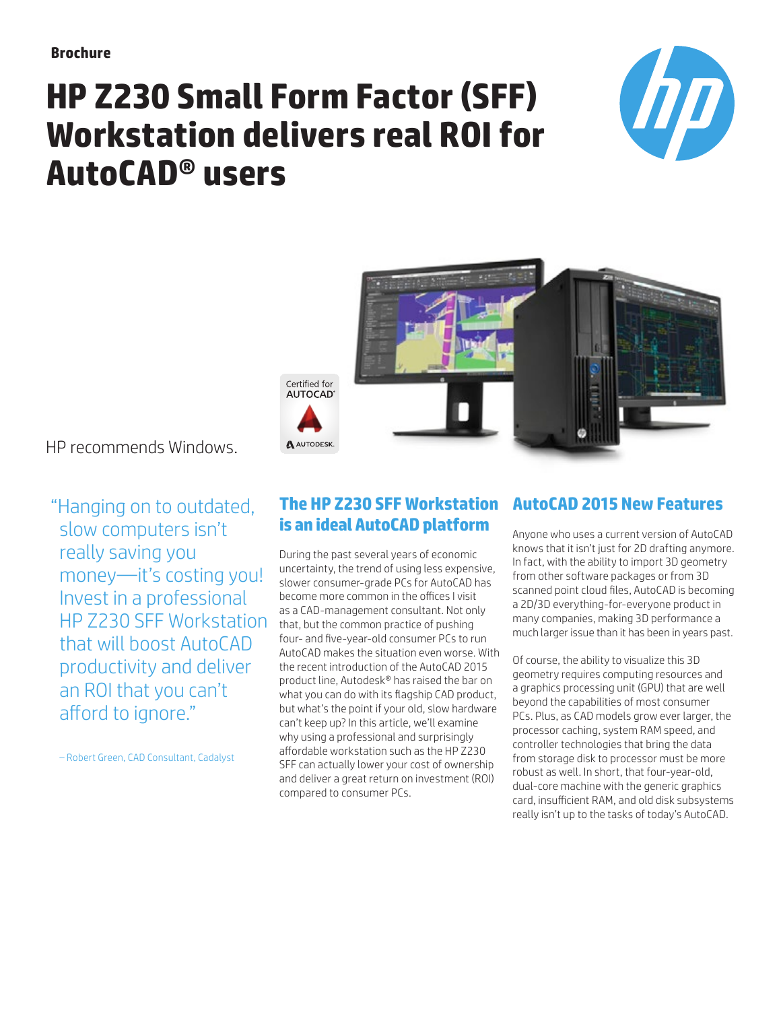# **HP Z230 Small Form Factor (SFF) Workstation delivers real ROI for AutoCAD® users**





HP recommends Windows.

"Hanging on to outdated, slow computers isn't really saving you money—it's costing you! Invest in a professional HP Z230 SFF Workstation that will boost AutoCAD productivity and deliver an ROI that you can't afford to ignore."

– Robert Green, CAD Consultant, Cadalyst

# **The HP Z230 SFF Workstation AutoCAD 2015 New Features is an ideal AutoCAD platform**

During the past several years of economic uncertainty, the trend of using less expensive, slower consumer-grade PCs for AutoCAD has become more common in the offices I visit as a CAD-management consultant. Not only that, but the common practice of pushing four- and five-year-old consumer PCs to run AutoCAD makes the situation even worse. With the recent introduction of the AutoCAD 2015 product line, Autodesk® has raised the bar on what you can do with its flagship CAD product, but what's the point if your old, slow hardware can't keep up? In this article, we'll examine why using a professional and surprisingly affordable workstation such as the HP Z230 SFF can actually lower your cost of ownership and deliver a great return on investment (ROI) compared to consumer PCs.

Anyone who uses a current version of AutoCAD knows that it isn't just for 2D drafting anymore. In fact, with the ability to import 3D geometry from other software packages or from 3D scanned point cloud files, AutoCAD is becoming a 2D/3D everything-for-everyone product in many companies, making 3D performance a much larger issue than it has been in years past.

Of course, the ability to visualize this 3D geometry requires computing resources and a graphics processing unit (GPU) that are well beyond the capabilities of most consumer PCs. Plus, as CAD models grow ever larger, the processor caching, system RAM speed, and controller technologies that bring the data from storage disk to processor must be more robust as well. In short, that four-year-old, dual-core machine with the generic graphics card, insufficient RAM, and old disk subsystems really isn't up to the tasks of today's AutoCAD.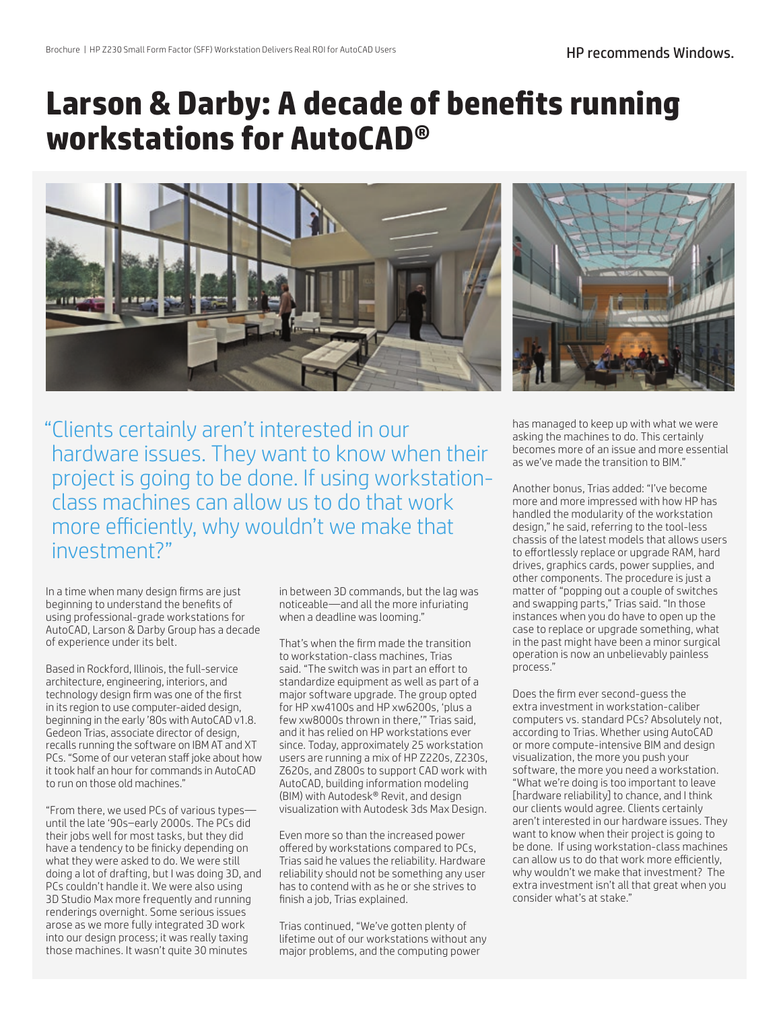# **Larson & Darby: A decade of benefits running workstations for AutoCAD®**





"Clients certainly aren't interested in our hardware issues. They want to know when their project is going to be done. If using workstationclass machines can allow us to do that work more efficiently, why wouldn't we make that investment?"

In a time when many design firms are just beginning to understand the benefits of using professional-grade workstations for AutoCAD, Larson & Darby Group has a decade of experience under its belt.

Based in Rockford, Illinois, the full-service architecture, engineering, interiors, and technology design firm was one of the first in its region to use computer-aided design, beginning in the early '80s with AutoCAD v1.8. Gedeon Trias, associate director of design, recalls running the software on IBM AT and XT PCs. "Some of our veteran staff joke about how it took half an hour for commands in AutoCAD to run on those old machines."

"From there, we used PCs of various types until the late '90s–early 2000s. The PCs did their jobs well for most tasks, but they did have a tendency to be finicky depending on what they were asked to do. We were still doing a lot of drafting, but I was doing 3D, and PCs couldn't handle it. We were also using 3D Studio Max more frequently and running renderings overnight. Some serious issues arose as we more fully integrated 3D work into our design process; it was really taxing those machines. It wasn't quite 30 minutes

in between 3D commands, but the lag was noticeable—and all the more infuriating when a deadline was looming."

That's when the firm made the transition to workstation-class machines, Trias said. "The switch was in part an effort to standardize equipment as well as part of a major software upgrade. The group opted for HP xw4100s and HP xw6200s, 'plus a few xw8000s thrown in there,'" Trias said, and it has relied on HP workstations ever since. Today, approximately 25 workstation users are running a mix of HP Z220s, Z230s, Z620s, and Z800s to support CAD work with AutoCAD, building information modeling (BIM) with Autodesk® Revit, and design visualization with Autodesk 3ds Max Design.

Even more so than the increased power offered by workstations compared to PCs, Trias said he values the reliability. Hardware reliability should not be something any user has to contend with as he or she strives to finish a job, Trias explained.

Trias continued, "We've gotten plenty of lifetime out of our workstations without any major problems, and the computing power

has managed to keep up with what we were asking the machines to do. This certainly becomes more of an issue and more essential as we've made the transition to BIM."

Another bonus, Trias added: "I've become more and more impressed with how HP has handled the modularity of the workstation design," he said, referring to the tool-less chassis of the latest models that allows users to effortlessly replace or upgrade RAM, hard drives, graphics cards, power supplies, and other components. The procedure is just a matter of "popping out a couple of switches and swapping parts," Trias said. "In those instances when you do have to open up the case to replace or upgrade something, what in the past might have been a minor surgical operation is now an unbelievably painless process."

Does the firm ever second-guess the extra investment in workstation-caliber computers vs. standard PCs? Absolutely not, according to Trias. Whether using AutoCAD or more compute-intensive BIM and design visualization, the more you push your software, the more you need a workstation. "What we're doing is too important to leave [hardware reliability] to chance, and I think our clients would agree. Clients certainly aren't interested in our hardware issues. They want to know when their project is going to be done. If using workstation-class machines can allow us to do that work more efficiently, why wouldn't we make that investment? The extra investment isn't all that great when you consider what's at stake."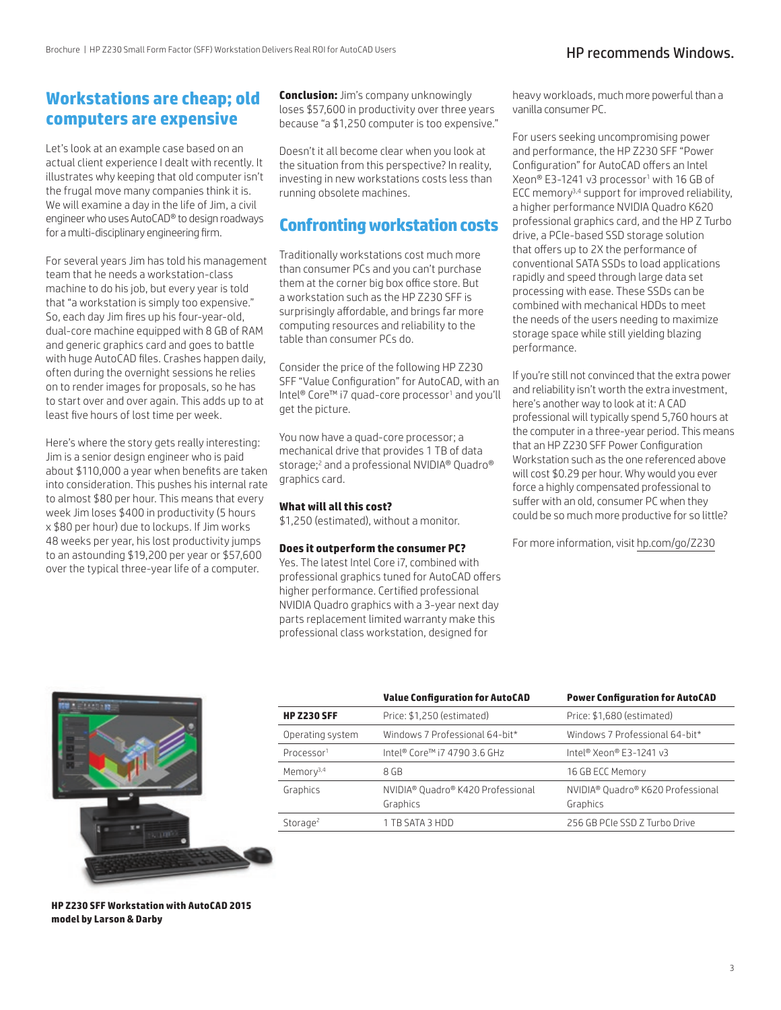# **Workstations are cheap; old computers are expensive**

Let's look at an example case based on an actual client experience I dealt with recently. It illustrates why keeping that old computer isn't the frugal move many companies think it is. We will examine a day in the life of Jim, a civil engineer who uses AutoCAD® to design roadways for a multi-disciplinary engineering firm.

For several years Jim has told his management team that he needs a workstation-class machine to do his job, but every year is told that "a workstation is simply too expensive." So, each day Jim fires up his four-year-old, dual-core machine equipped with 8 GB of RAM and generic graphics card and goes to battle with huge AutoCAD files. Crashes happen daily, often during the overnight sessions he relies on to render images for proposals, so he has to start over and over again. This adds up to at least five hours of lost time per week.

Here's where the story gets really interesting: Jim is a senior design engineer who is paid about \$110,000 a year when benefits are taken into consideration. This pushes his internal rate to almost \$80 per hour. This means that every week Jim loses \$400 in productivity (5 hours x \$80 per hour) due to lockups. If Jim works 48 weeks per year, his lost productivity jumps to an astounding \$19,200 per year or \$57,600 over the typical three-year life of a computer.

**Conclusion:** Jim's company unknowingly loses \$57,600 in productivity over three years because "a \$1,250 computer is too expensive."

Doesn't it all become clear when you look at the situation from this perspective? In reality, investing in new workstations costs less than running obsolete machines.

# **Confronting workstation costs**

Traditionally workstations cost much more than consumer PCs and you can't purchase them at the corner big box office store. But a workstation such as the HP Z230 SFF is surprisingly affordable, and brings far more computing resources and reliability to the table than consumer PCs do.

Consider the price of the following HP Z230 SFF "Value Configuration" for AutoCAD, with an Intel® Core™ i7 quad-core processor1 and you'll get the picture.

You now have a quad-core processor; a mechanical drive that provides 1 TB of data storage;2 and a professional NVIDIA® Quadro® graphics card.

### **What will all this cost?**

\$1,250 (estimated), without a monitor.

### **Does it outperform the consumer PC?**

Yes. The latest Intel Core i7, combined with professional graphics tuned for AutoCAD offers higher performance. Certified professional NVIDIA Quadro graphics with a 3-year next day parts replacement limited warranty make this professional class workstation, designed for

heavy workloads, much more powerful than a vanilla consumer PC.

For users seeking uncompromising power and performance, the HP Z230 SFF "Power Configuration" for AutoCAD offers an Intel Xeon® E3-1241 v3 processor<sup>1</sup> with 16 GB of ECC memory3,4 support for improved reliability, a higher performance NVIDIA Quadro K620 professional graphics card, and the HP Z Turbo drive, a PCIe-based SSD storage solution that offers up to 2X the performance of conventional SATA SSDs to load applications rapidly and speed through large data set processing with ease. These SSDs can be combined with mechanical HDDs to meet the needs of the users needing to maximize storage space while still yielding blazing performance.

If you're still not convinced that the extra power and reliability isn't worth the extra investment, here's another way to look at it: A CAD professional will typically spend 5,760 hours at the computer in a three-year period. This means that an HP Z230 SFF Power Configuration Workstation such as the one referenced above will cost \$0.29 per hour. Why would you ever force a highly compensated professional to suffer with an old, consumer PC when they could be so much more productive for so little?

For more information, visit [hp.com/go/Z230](http://www.hp.com/go/Z230)



**HP Z230 SFF Workstation with AutoCAD 2015 model by Larson & Darby** 

|                        | <b>Value Configuration for AutoCAD</b>        | <b>Power Configuration for AutoCAD</b>                    |
|------------------------|-----------------------------------------------|-----------------------------------------------------------|
| <b>HP Z230 SFF</b>     | Price: \$1,250 (estimated)                    | Price: \$1,680 (estimated)                                |
| Operating system       | Windows 7 Professional 64-bit*                | Windows 7 Professional 64-bit*                            |
| Processor <sup>1</sup> | Intel® Core™ i7 4790 3.6 GHz                  | Intel® Xeon® E3-1241 v3                                   |
| Memory <sup>3,4</sup>  | 8 GB                                          | 16 GB ECC Memory                                          |
| Graphics               | NVIDIA® Quadro® K420 Professional<br>Graphics | NVIDIA <sup>®</sup> Quadro® K620 Professional<br>Graphics |
| Storage <sup>2</sup>   | 1 TB SATA 3 HDD                               | 256 GB PCIe SSD Z Turbo Drive                             |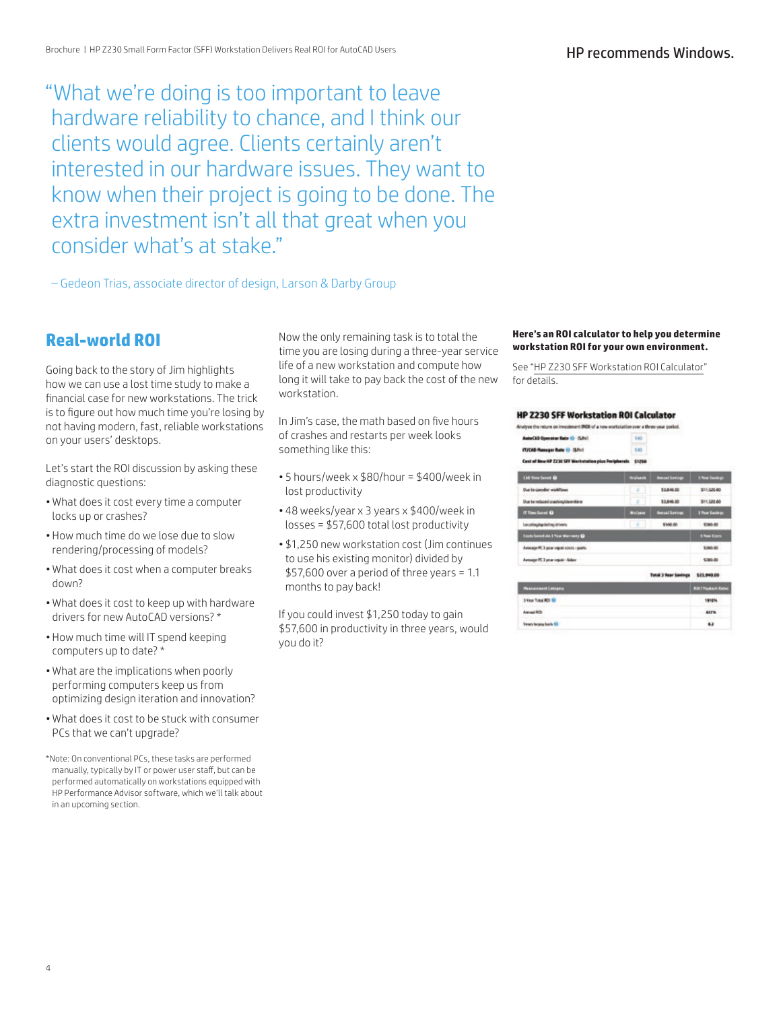"What we're doing is too important to leave hardware reliability to chance, and I think our clients would agree. Clients certainly aren't interested in our hardware issues. They want to know when their project is going to be done. The extra investment isn't all that great when you consider what's at stake."

– Gedeon Trias, associate director of design, Larson & Darby Group

# **Real-world ROI**

Going back to the story of Jim highlights how we can use a lost time study to make a financial case for new workstations. The trick is to figure out how much time you're losing by not having modern, fast, reliable workstations on your users' desktops.

Let's start the ROI discussion by asking these diagnostic questions:

- What does it cost every time a computer locks up or crashes?
- How much time do we lose due to slow rendering/processing of models?
- What does it cost when a computer breaks down?
- What does it cost to keep up with hardware drivers for new AutoCAD versions? \*
- How much time will IT spend keeping computers up to date? \*
- What are the implications when poorly performing computers keep us from optimizing design iteration and innovation?
- What does it cost to be stuck with consumer PCs that we can't upgrade?
- \*Note: On conventional PCs, these tasks are performed manually, typically by IT or power user staff, but can be performed automatically on workstations equipped with HP Performance Advisor software, which we'll talk about in an upcoming section.

Now the only remaining task is to total the time you are losing during a three-year service life of a new workstation and compute how long it will take to pay back the cost of the new workstation.

In Jim's case, the math based on five hours of crashes and restarts per week looks something like this:

- 5 hours/week x \$80/hour = \$400/week in lost productivity
- 48 weeks/year x 3 years x \$400/week in losses = \$57,600 total lost productivity
- \$1,250 new workstation cost (Jim continues to use his existing monitor) divided by \$57,600 over a period of three years = 1.1 months to pay back!

If you could invest \$1,250 today to gain \$57,600 in productivity in three years, would you do it?

#### **Here's an ROI calculator to help you determine workstation ROI for your own environment.**

See "[HP Z230 SFF Workstation ROI Calculator](http://www.hp.com/go/autocad)" for details.

#### **HP Z230 SFF Workstation ROI Calculator**

| Inalyze the return on investment (ROII of a new workstation over a three-year porkel. |                  |                               |                                    |
|---------------------------------------------------------------------------------------|------------------|-------------------------------|------------------------------------|
| <b>AutoCAD Operator Rate O G.Pri1</b>                                                 | 540              |                               |                                    |
| ITJCAD Manager Rate @ (S/hr)                                                          | 545              |                               |                                    |
| Cost of New HP 2230 SFF Workstation plus Peripherals \$1250                           |                  |                               |                                    |
| <b>CAR Time Served @</b>                                                              | <b>Northeast</b> | <b>Associate Services</b>     | 1 Year Seriest                     |
| Due to speedler workflows                                                             | ×                | \$3,846.32                    | \$11,520.00                        |
| Due to rebord crashing/devrilleral                                                    | ż                | 11,846.95                     | \$11,520.00                        |
| If Time Local Or                                                                      | Automo           | <b><i><u>Security</u></i></b> | <b><i><u>Floor Easings</u></i></b> |
| Lecating/apdating drivers                                                             | ×                | \$100.00                      | <b>S200-MD</b>                     |
| Costs Cannellate 3 Year Worrenty @                                                    |                  |                               | <b><i>S Raw Cours</i></b>          |
| Avenage PC 3 pear require costs - points.                                             |                  |                               | \$300.00                           |
| Armige PC 3 pranaguan (Babon)                                                         |                  |                               | \$380.00                           |
|                                                                                       |                  | <b>Total 3 Rear Sanings</b>   | \$23,940.00                        |
| <b>Passion meet Catholics</b>                                                         |                  |                               | <b>ROLLFRANCH RAVIN</b>            |
| <b>SYear Total RDI GI</b>                                                             |                  |                               | 1910%                              |
| American McDir                                                                        |                  |                               | 437%                               |
| Veses he pop back El-                                                                 |                  |                               | 62                                 |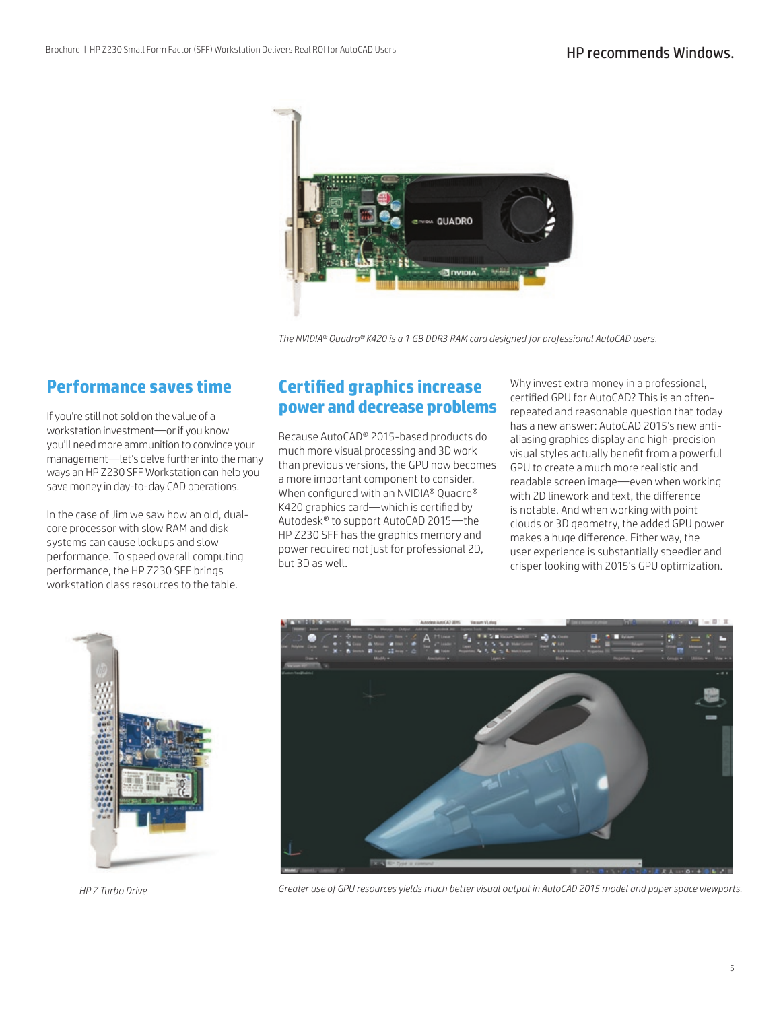

*The NVIDIA® Quadro® K420 is a 1 GB DDR3 RAM card designed for professional AutoCAD users.*

# **Performance saves time**

If you're still not sold on the value of a workstation investment—or if you know you'll need more ammunition to convince your management—let's delve further into the many ways an HP Z230 SFF Workstation can help you save money in day-to-day CAD operations.

In the case of Jim we saw how an old, dualcore processor with slow RAM and disk systems can cause lockups and slow performance. To speed overall computing performance, the HP Z230 SFF brings workstation class resources to the table.

# **Certified graphics increase power and decrease problems**

Because AutoCAD® 2015-based products do much more visual processing and 3D work than previous versions, the GPU now becomes a more important component to consider. When configured with an NVIDIA® Quadro® K420 graphics card—which is certified by Autodesk® to support AutoCAD 2015—the HP Z230 SFF has the graphics memory and power required not just for professional 2D, but 3D as well.

Why invest extra money in a professional, certified GPU for AutoCAD? This is an oftenrepeated and reasonable question that today has a new answer: AutoCAD 2015's new antialiasing graphics display and high-precision visual styles actually benefit from a powerful GPU to create a much more realistic and readable screen image—even when working with 2D linework and text, the difference is notable. And when working with point clouds or 3D geometry, the added GPU power makes a huge difference. Either way, the user experience is substantially speedier and crisper looking with 2015's GPU optimization.



*HP Z Turbo Drive*



*Greater use of GPU resources yields much better visual output in AutoCAD 2015 model and paper space viewports.*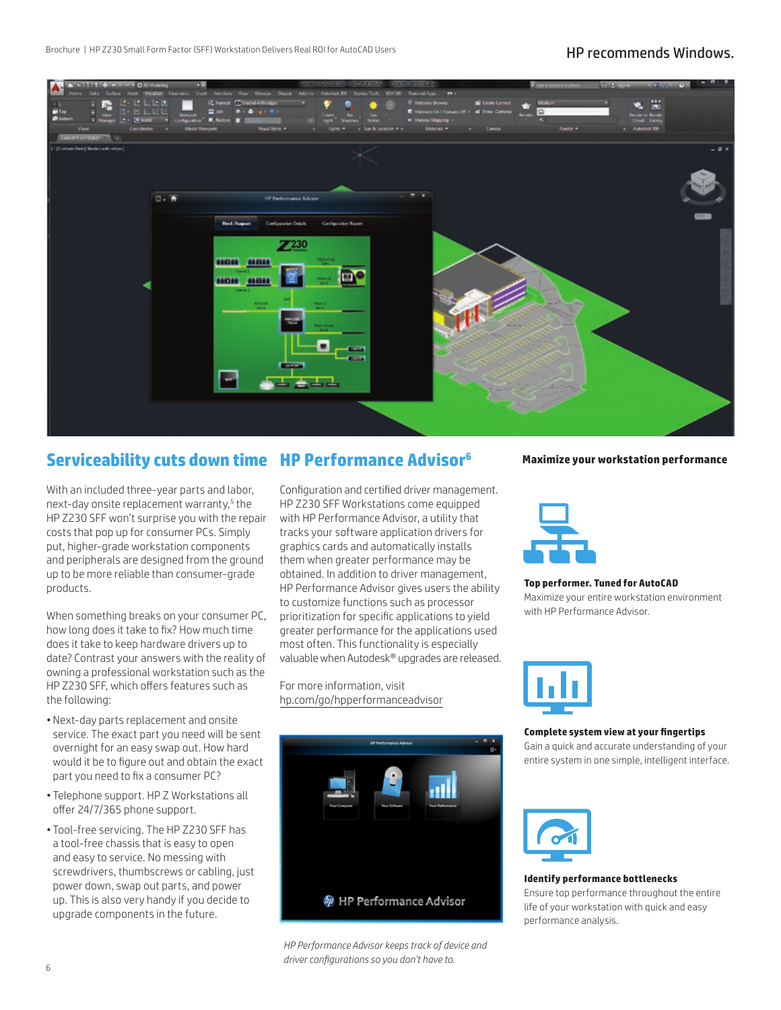

# **Serviceability cuts down time HP Performance Advisor6**

With an included three-year parts and labor, next-day onsite replacement warranty,<sup>5</sup> the HP Z230 SFF won't surprise you with the repair costs that pop up for consumer PCs. Simply put, higher-grade workstation components and peripherals are designed from the ground up to be more reliable than consumer-grade products.

When something breaks on your consumer PC, how long does it take to fix? How much time does it take to keep hardware drivers up to date? Contrast your answers with the reality of owning a professional workstation such as the HP Z230 SFF, which offers features such as the following:

- Next-day parts replacement and onsite service. The exact part you need will be sent overnight for an easy swap out. How hard would it be to figure out and obtain the exact part you need to fix a consumer PC?
- Telephone support. HP Z Workstations all offer 24/7/365 phone support.
- Tool-free servicing. The HP Z230 SFF has a tool-free chassis that is easy to open and easy to service. No messing with screwdrivers, thumbscrews or cabling, just power down, swap out parts, and power up. This is also very handy if you decide to upgrade components in the future.

Configuration and certified driver management. HP Z230 SFF Workstations come equipped with HP Performance Advisor, a utility that tracks your software application drivers for graphics cards and automatically installs them when greater performance may be obtained. In addition to driver management, HP Performance Advisor gives users the ability to customize functions such as processor prioritization for specific applications to yield greater performance for the applications used most often. This functionality is especially valuable when Autodesk® upgrades are released.

For more information, visit [hp.com/go/hpperformanceadvisor](http://www.hp.com/go/hpperformanceadvisor)



*HP Performance Advisor keeps track of device and driver configurations so you don't have to.*

#### **Maximize your workstation performance**



#### **Top performer. Tuned for AutoCAD**

Maximize your entire workstation environment with HP Performance Advisor.



#### **Complete system view at your fingertips**

Gain a quick and accurate understanding of your entire system in one simple, intelligent interface.



**Identify performance bottlenecks** Ensure top performance throughout the entire life of your workstation with quick and easy performance analysis.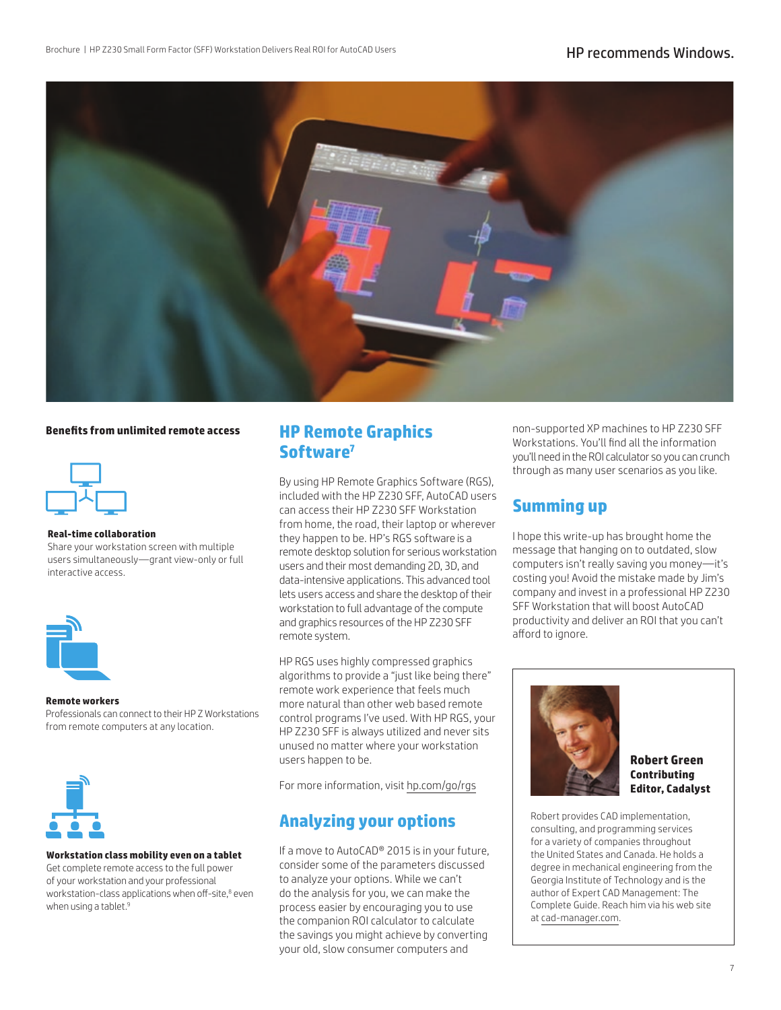

#### **Benefits from unlimited remote access**



#### **Real-time collaboration**

Share your workstation screen with multiple users simultaneously—grant view-only or full interactive access.



#### **Remote workers**

Professionals can connect to their HP Z Workstations from remote computers at any location.



#### **Workstation class mobility even on a tablet**

Get complete remote access to the full power of your workstation and your professional workstation-class applications when off-site,<sup>8</sup> even when using a tablet.<sup>9</sup>

# **HP Remote Graphics Software7**

By using HP Remote Graphics Software (RGS), included with the HP Z230 SFF, AutoCAD users can access their HP Z230 SFF Workstation from home, the road, their laptop or wherever they happen to be. HP's RGS software is a remote desktop solution for serious workstation users and their most demanding 2D, 3D, and data-intensive applications. This advanced tool lets users access and share the desktop of their workstation to full advantage of the compute and graphics resources of the HP Z230 SFF remote system.

HP RGS uses highly compressed graphics algorithms to provide a "just like being there" remote work experience that feels much more natural than other web based remote control programs I've used. With HP RGS, your HP Z230 SFF is always utilized and never sits unused no matter where your workstation users happen to be.

For more information, visit [hp.com/go/rgs](http://www.hp.com/go/rgs)

## **Analyzing your options**

If a move to AutoCAD® 2015 is in your future, consider some of the parameters discussed to analyze your options. While we can't do the analysis for you, we can make the process easier by encouraging you to use the companion ROI calculator to calculate the savings you might achieve by converting your old, slow consumer computers and

non-supported XP machines to HP Z230 SFF Workstations. You'll find all the information you'll need in the ROI calculator so you can crunch through as many user scenarios as you like.

## **Summing up**

I hope this write-up has brought home the message that hanging on to outdated, slow computers isn't really saving you money—it's costing you! Avoid the mistake made by Jim's company and invest in a professional HP Z230 SFF Workstation that will boost AutoCAD productivity and deliver an ROI that you can't afford to ignore.



**Robert Green Contributing Editor, Cadalyst**

Robert provides CAD implementation, consulting, and programming services for a variety of companies throughout the United States and Canada. He holds a degree in mechanical engineering from the Georgia Institute of Technology and is the author of Expert CAD Management: The Complete Guide. Reach him via his web site at [cad-manager.com](http://www.cad-manager.com).